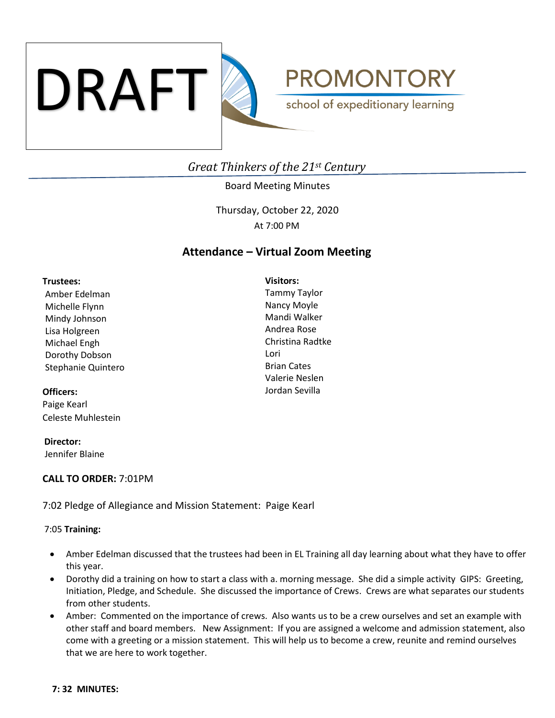

**PROMONTORY** school of expeditionary learning

# *Great Thinkers of the 21st Century*

## Board Meeting Minutes

Thursday, October 22, 2020 At 7:00 PM

## **Attendance – Virtual Zoom Meeting**

**Visitors:**

#### **Trustees:**

Amber Edelman Michelle Flynn Mindy Johnson Lisa Holgreen Michael Engh Dorothy Dobson Stephanie Quintero

## **Officers:**

Paige Kearl Celeste Muhlestein

 **Director:** Jennifer Blaine

## **CALL TO ORDER:** 7:01PM

7:02 Pledge of Allegiance and Mission Statement: Paige Kearl

## 7:05 **Training:**

- Amber Edelman discussed that the trustees had been in EL Training all day learning about what they have to offer this year.
- Dorothy did a training on how to start a class with a. morning message. She did a simple activity GIPS: Greeting, Initiation, Pledge, and Schedule. She discussed the importance of Crews. Crews are what separates our students from other students.
- Amber: Commented on the importance of crews. Also wants us to be a crew ourselves and set an example with other staff and board members. New Assignment: If you are assigned a welcome and admission statement, also come with a greeting or a mission statement. This will help us to become a crew, reunite and remind ourselves that we are here to work together.

Tammy Taylor Nancy Moyle Mandi Walker Andrea Rose Christina Radtke Lori Brian Cates Valerie Neslen Jordan Sevilla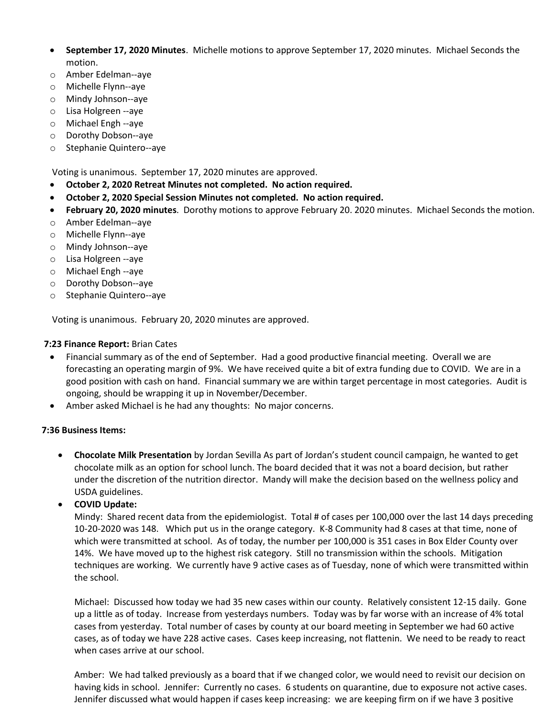- **September 17, 2020 Minutes**. Michelle motions to approve September 17, 2020 minutes. Michael Seconds the motion.
- o Amber Edelman--aye
- o Michelle Flynn--aye
- o Mindy Johnson--aye
- o Lisa Holgreen --aye
- o Michael Engh --aye
- o Dorothy Dobson--aye
- o Stephanie Quintero--aye

Voting is unanimous. September 17, 2020 minutes are approved.

- **October 2, 2020 Retreat Minutes not completed. No action required.**
- **October 2, 2020 Special Session Minutes not completed. No action required.**
- **February 20, 2020 minutes**. Dorothy motions to approve February 20. 2020 minutes. Michael Seconds the motion.
- o Amber Edelman--aye
- o Michelle Flynn--aye
- o Mindy Johnson--aye
- o Lisa Holgreen --aye
- o Michael Engh --aye
- o Dorothy Dobson--aye
- o Stephanie Quintero--aye

Voting is unanimous. February 20, 2020 minutes are approved.

## **7:23 Finance Report:** Brian Cates

- Financial summary as of the end of September. Had a good productive financial meeting. Overall we are forecasting an operating margin of 9%. We have received quite a bit of extra funding due to COVID. We are in a good position with cash on hand. Financial summary we are within target percentage in most categories. Audit is ongoing, should be wrapping it up in November/December.
- Amber asked Michael is he had any thoughts: No major concerns.

## **7:36 Business Items:**

- **Chocolate Milk Presentation** by Jordan Sevilla As part of Jordan's student council campaign, he wanted to get chocolate milk as an option for school lunch. The board decided that it was not a board decision, but rather under the discretion of the nutrition director. Mandy will make the decision based on the wellness policy and USDA guidelines.
- **COVID Update:**

Mindy: Shared recent data from the epidemiologist. Total # of cases per 100,000 over the last 14 days preceding 10-20-2020 was 148. Which put us in the orange category. K-8 Community had 8 cases at that time, none of which were transmitted at school. As of today, the number per 100,000 is 351 cases in Box Elder County over 14%. We have moved up to the highest risk category. Still no transmission within the schools. Mitigation techniques are working. We currently have 9 active cases as of Tuesday, none of which were transmitted within the school.

Michael: Discussed how today we had 35 new cases within our county. Relatively consistent 12-15 daily. Gone up a little as of today. Increase from yesterdays numbers. Today was by far worse with an increase of 4% total cases from yesterday. Total number of cases by county at our board meeting in September we had 60 active cases, as of today we have 228 active cases. Cases keep increasing, not flattenin. We need to be ready to react when cases arrive at our school.

Amber: We had talked previously as a board that if we changed color, we would need to revisit our decision on having kids in school. Jennifer: Currently no cases. 6 students on quarantine, due to exposure not active cases. Jennifer discussed what would happen if cases keep increasing: we are keeping firm on if we have 3 positive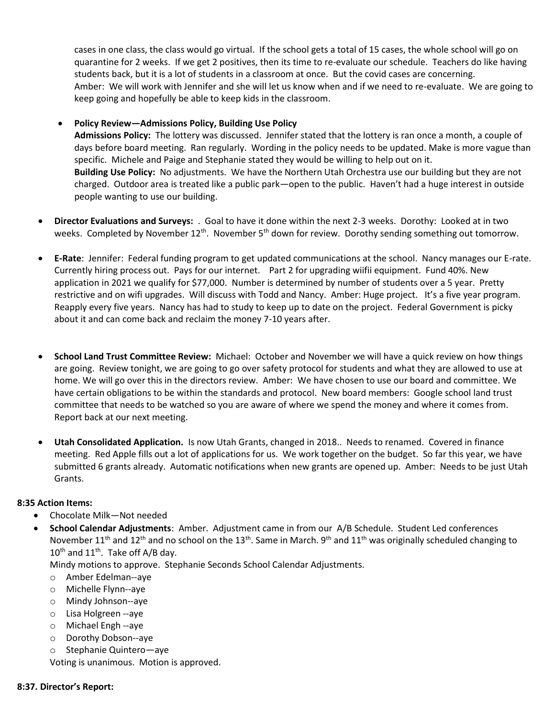cases in one class, the class would go virtual. If the school gets a total of 15 cases, the whole school will go on quarantine for 2 weeks. If we get 2 positives, then its time to re-evaluate our schedule. Teachers do like having students back, but it is a lot of students in a classroom at once. But the covid cases are concerning. Amber: We will work with Jennifer and she will let us know when and if we need to re-evaluate. We are going to keep going and hopefully be able to keep kids in the classroom.

## • **Policy Review—Admissions Policy, Building Use Policy**

**Admissions Policy:** The lottery was discussed. Jennifer stated that the lottery is ran once a month, a couple of days before board meeting. Ran regularly. Wording in the policy needs to be updated. Make is more vague than specific. Michele and Paige and Stephanie stated they would be willing to help out on it. **Building Use Policy:** No adjustments. We have the Northern Utah Orchestra use our building but they are not charged. Outdoor area is treated like a public park—open to the public. Haven't had a huge interest in outside people wanting to use our building.

- **Director Evaluations and Surveys:** . Goal to have it done within the next 2-3 weeks. Dorothy: Looked at in two weeks. Completed by November 12<sup>th</sup>. November 5<sup>th</sup> down for review. Dorothy sending something out tomorrow.
- **E-Rate**: Jennifer: Federal funding program to get updated communications at the school. Nancy manages our E-rate. Currently hiring process out. Pays for our internet. Part 2 for upgrading wiifii equipment. Fund 40%. New application in 2021 we qualify for \$77,000. Number is determined by number of students over a 5 year. Pretty restrictive and on wifi upgrades. Will discuss with Todd and Nancy. Amber: Huge project. It's a five year program. Reapply every five years. Nancy has had to study to keep up to date on the project. Federal Government is picky about it and can come back and reclaim the money 7-10 years after.
- **School Land Trust Committee Review:** Michael: October and November we will have a quick review on how things are going. Review tonight, we are going to go over safety protocol for students and what they are allowed to use at home. We will go over this in the directors review. Amber: We have chosen to use our board and committee. We have certain obligations to be within the standards and protocol. New board members: Google school land trust committee that needs to be watched so you are aware of where we spend the money and where it comes from. Report back at our next meeting.
- **Utah Consolidated Application.** Is now Utah Grants, changed in 2018.. Needs to renamed. Covered in finance meeting. Red Apple fills out a lot of applications for us. We work together on the budget. So far this year, we have submitted 6 grants already. Automatic notifications when new grants are opened up. Amber: Needs to be just Utah Grants.

## **8:35 Action Items:**

- Chocolate Milk—Not needed
- **School Calendar Adjustments**: Amber. Adjustment came in from our A/B Schedule. Student Led conferences November 11<sup>th</sup> and 12<sup>th</sup> and no school on the 13<sup>th</sup>. Same in March. 9<sup>th</sup> and 11<sup>th</sup> was originally scheduled changing to  $10^{th}$  and  $11^{th}$ . Take off A/B day.

Mindy motions to approve. Stephanie Seconds School Calendar Adjustments.

- o Amber Edelman--aye
- o Michelle Flynn--aye
- o Mindy Johnson--aye
- o Lisa Holgreen --aye
- o Michael Engh --aye
- o Dorothy Dobson--aye
- o Stephanie Quintero—aye

Voting is unanimous. Motion is approved.